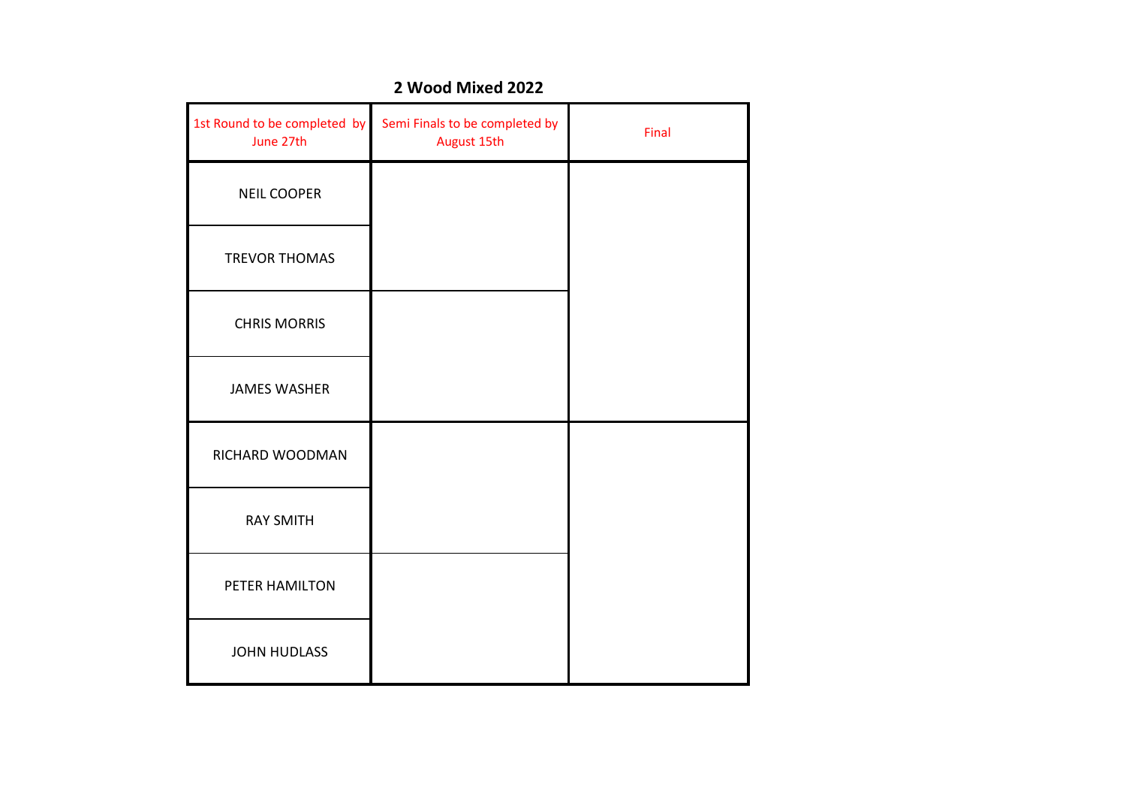| 1st Round to be completed by<br>June 27th | Semi Finals to be completed by<br>August 15th | Final |
|-------------------------------------------|-----------------------------------------------|-------|
| <b>NEIL COOPER</b>                        |                                               |       |
| <b>TREVOR THOMAS</b>                      |                                               |       |
| <b>CHRIS MORRIS</b>                       |                                               |       |
| <b>JAMES WASHER</b>                       |                                               |       |
| RICHARD WOODMAN                           |                                               |       |
| <b>RAY SMITH</b>                          |                                               |       |
| PETER HAMILTON                            |                                               |       |
| <b>JOHN HUDLASS</b>                       |                                               |       |

#### **2 Wood Mixed 2022**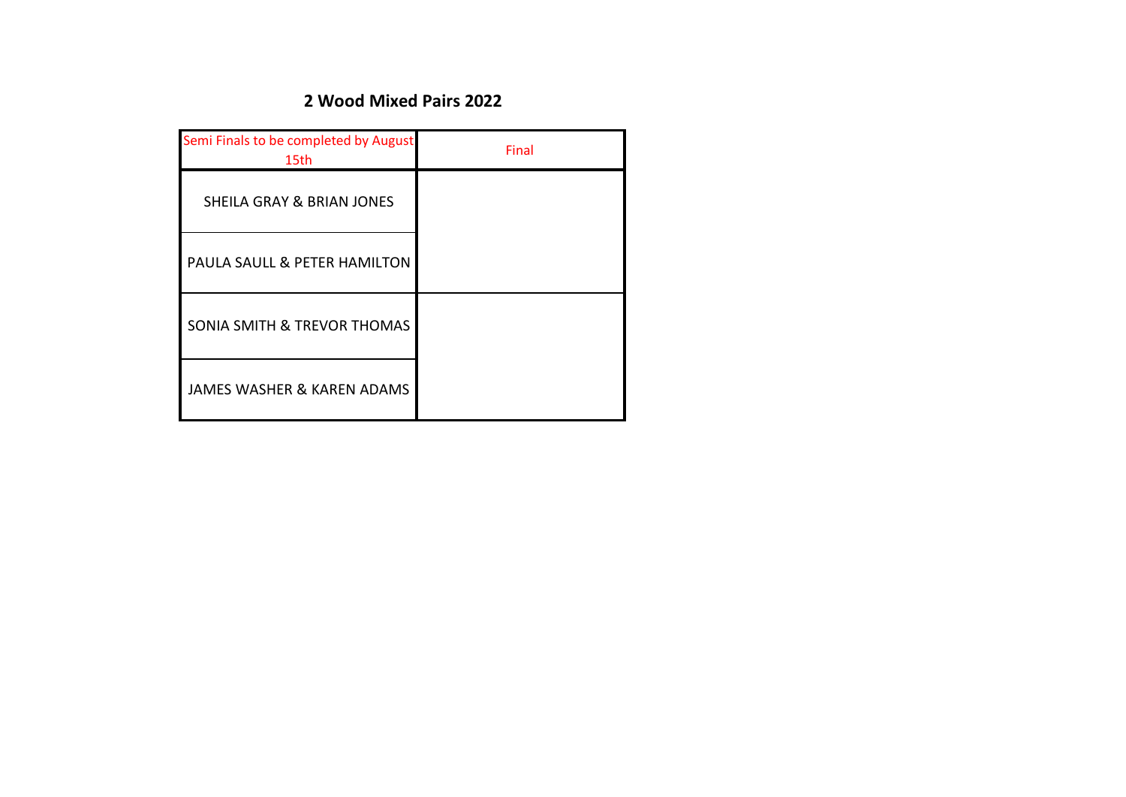## **2 Wood Mixed Pairs 2022**

| Semi Finals to be completed by August<br>15th | Final |
|-----------------------------------------------|-------|
| <b>SHEILA GRAY &amp; BRIAN JONES</b>          |       |
| PAULA SAULL & PETER HAMILTON                  |       |
| <b>SONIA SMITH &amp; TREVOR THOMAS</b>        |       |
| JAMES WASHER & KAREN ADAMS                    |       |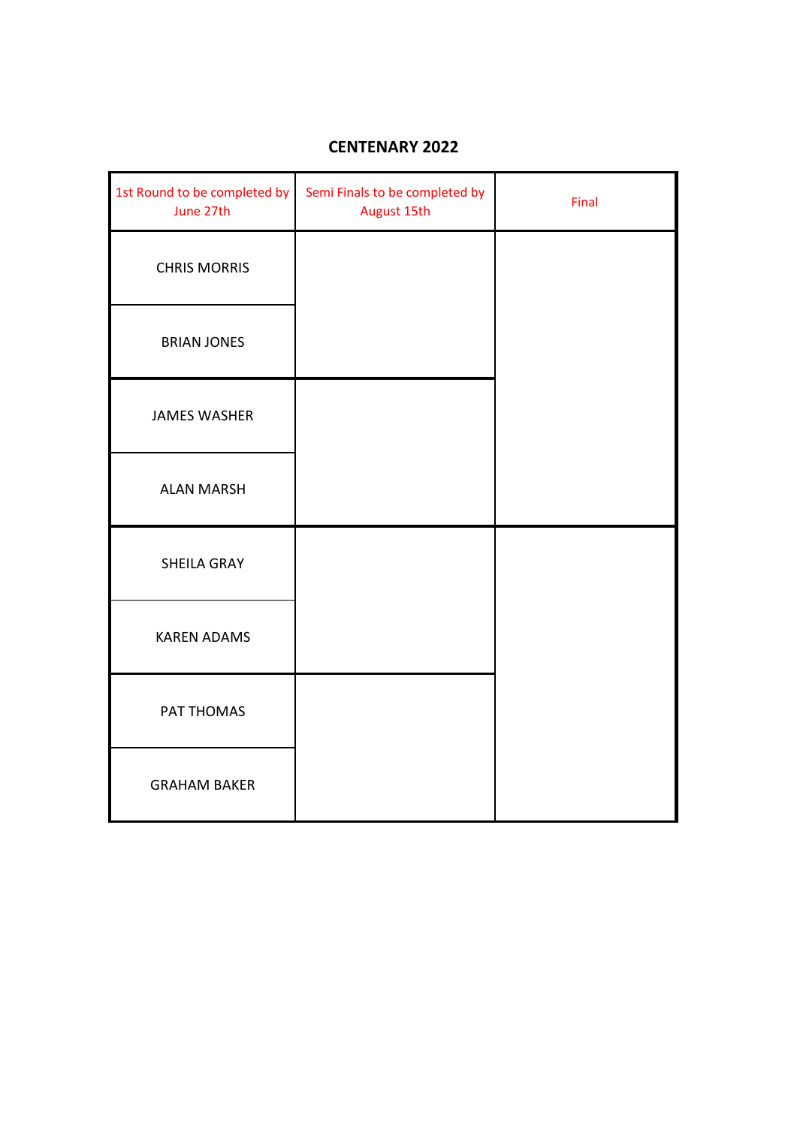## **CENTENARY 2022**

| 1st Round to be completed by<br>June 27th | Semi Finals to be completed by<br>August 15th | Final |
|-------------------------------------------|-----------------------------------------------|-------|
| <b>CHRIS MORRIS</b>                       |                                               |       |
| <b>BRIAN JONES</b>                        |                                               |       |
| <b>JAMES WASHER</b>                       |                                               |       |
| <b>ALAN MARSH</b>                         |                                               |       |
| <b>SHEILA GRAY</b>                        |                                               |       |
| <b>KAREN ADAMS</b>                        |                                               |       |
| PAT THOMAS                                |                                               |       |
| <b>GRAHAM BAKER</b>                       |                                               |       |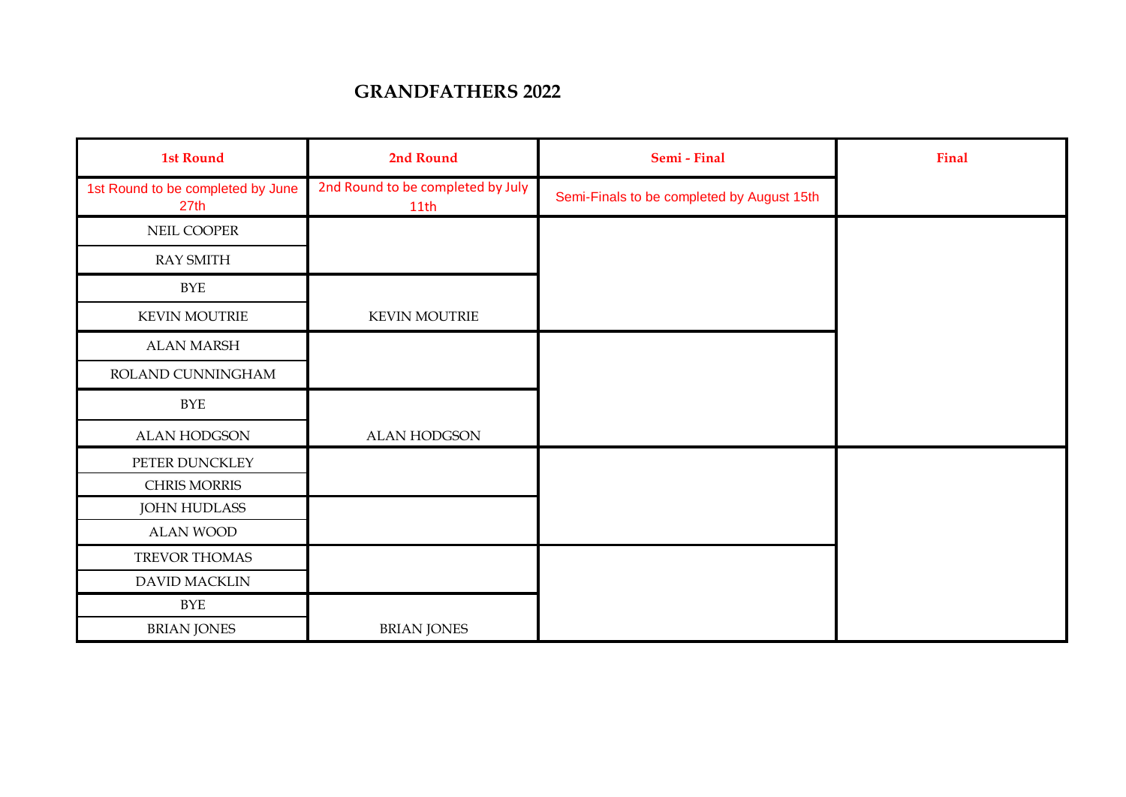## **GRANDFATHERS 2022**

| <b>1st Round</b>                          | 2nd Round                                 | Semi - Final                               | Final |
|-------------------------------------------|-------------------------------------------|--------------------------------------------|-------|
| 1st Round to be completed by June<br>27th | 2nd Round to be completed by July<br>11th | Semi-Finals to be completed by August 15th |       |
| NEIL COOPER                               |                                           |                                            |       |
| <b>RAY SMITH</b>                          |                                           |                                            |       |
| <b>BYE</b>                                |                                           |                                            |       |
| <b>KEVIN MOUTRIE</b>                      | <b>KEVIN MOUTRIE</b>                      |                                            |       |
| <b>ALAN MARSH</b>                         |                                           |                                            |       |
| ROLAND CUNNINGHAM                         |                                           |                                            |       |
| <b>BYE</b>                                |                                           |                                            |       |
| <b>ALAN HODGSON</b>                       | ALAN HODGSON                              |                                            |       |
| PETER DUNCKLEY                            |                                           |                                            |       |
| CHRIS MORRIS                              |                                           |                                            |       |
| <b>JOHN HUDLASS</b>                       |                                           |                                            |       |
| <b>ALAN WOOD</b>                          |                                           |                                            |       |
| TREVOR THOMAS                             |                                           |                                            |       |
| DAVID MACKLIN                             |                                           |                                            |       |
| <b>BYE</b>                                |                                           |                                            |       |
| <b>BRIAN JONES</b>                        | <b>BRIAN JONES</b>                        |                                            |       |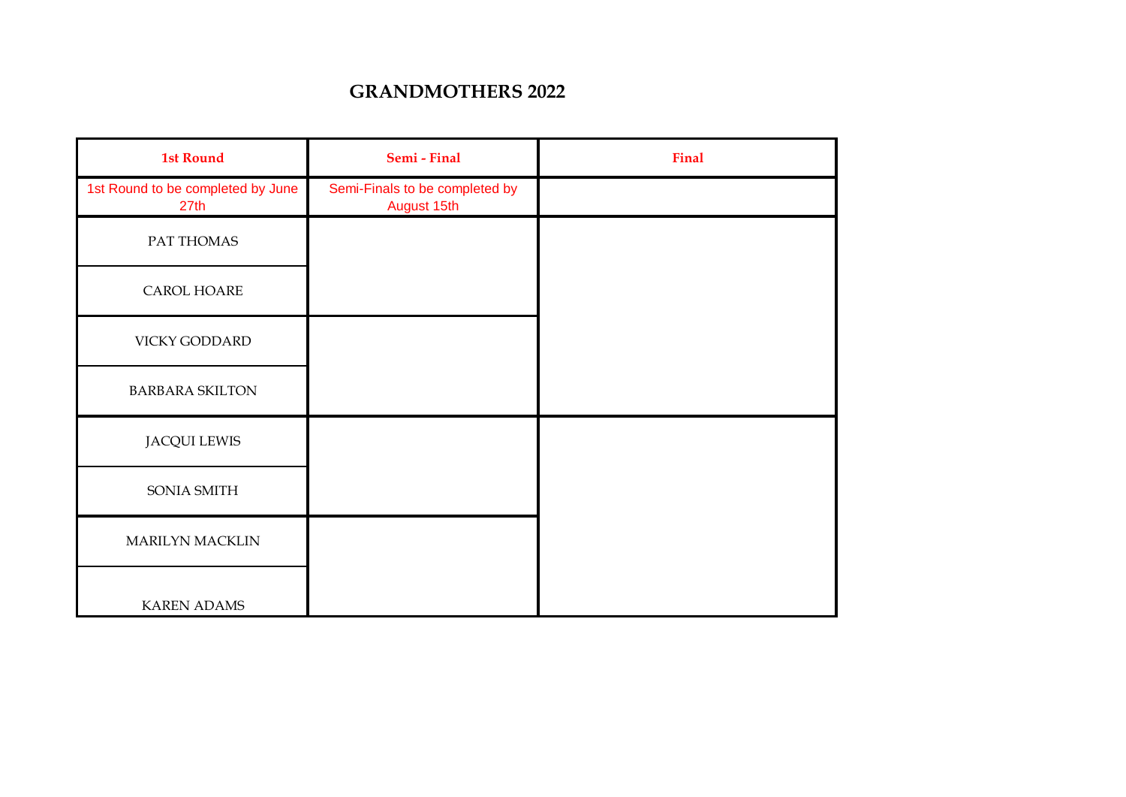## **GRANDMOTHERS 2022**

| <b>1st Round</b>                          | Semi - Final                                  | <b>Final</b> |
|-------------------------------------------|-----------------------------------------------|--------------|
| 1st Round to be completed by June<br>27th | Semi-Finals to be completed by<br>August 15th |              |
| PAT THOMAS                                |                                               |              |
| CAROL HOARE                               |                                               |              |
| VICKY GODDARD                             |                                               |              |
| <b>BARBARA SKILTON</b>                    |                                               |              |
| <b>JACQUI LEWIS</b>                       |                                               |              |
| SONIA SMITH                               |                                               |              |
| MARILYN MACKLIN                           |                                               |              |
| <b>KAREN ADAMS</b>                        |                                               |              |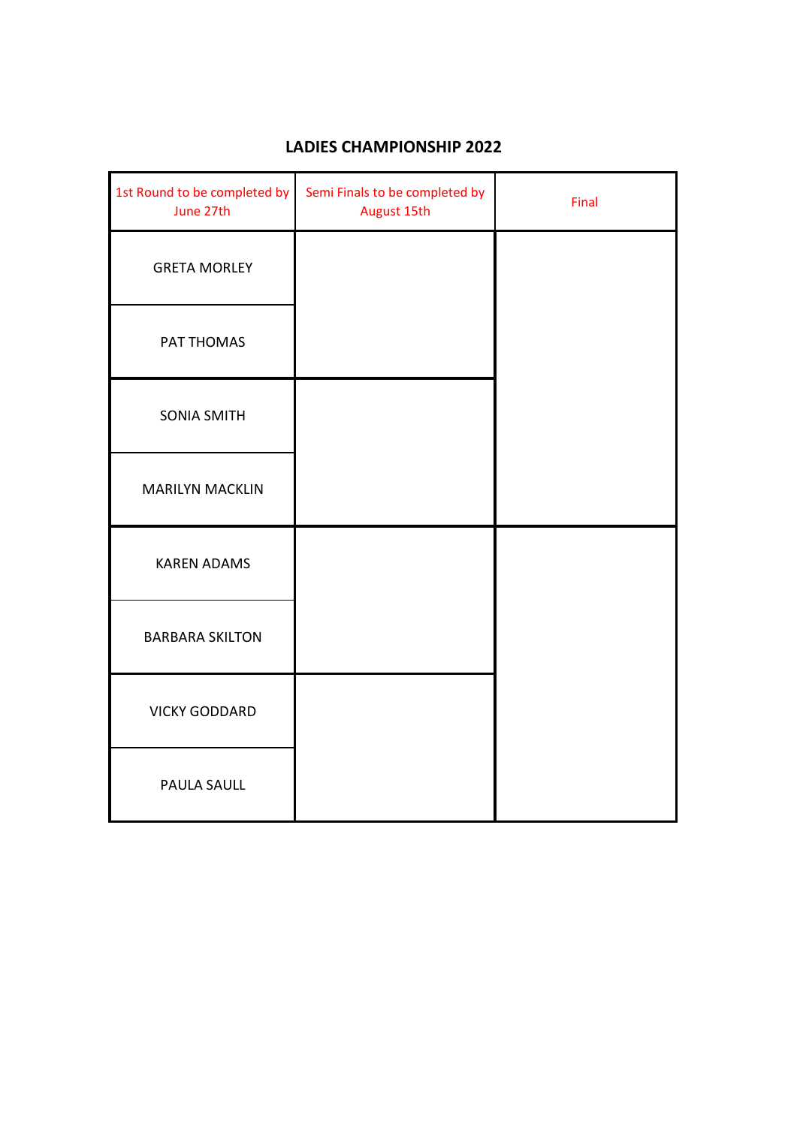| 1st Round to be completed by<br>June 27th | Semi Finals to be completed by<br>August 15th | Final |
|-------------------------------------------|-----------------------------------------------|-------|
| <b>GRETA MORLEY</b>                       |                                               |       |
| PAT THOMAS                                |                                               |       |
| <b>SONIA SMITH</b>                        |                                               |       |
| <b>MARILYN MACKLIN</b>                    |                                               |       |
| <b>KAREN ADAMS</b>                        |                                               |       |
| <b>BARBARA SKILTON</b>                    |                                               |       |
| <b>VICKY GODDARD</b>                      |                                               |       |
| PAULA SAULL                               |                                               |       |

## **LADIES CHAMPIONSHIP 2022**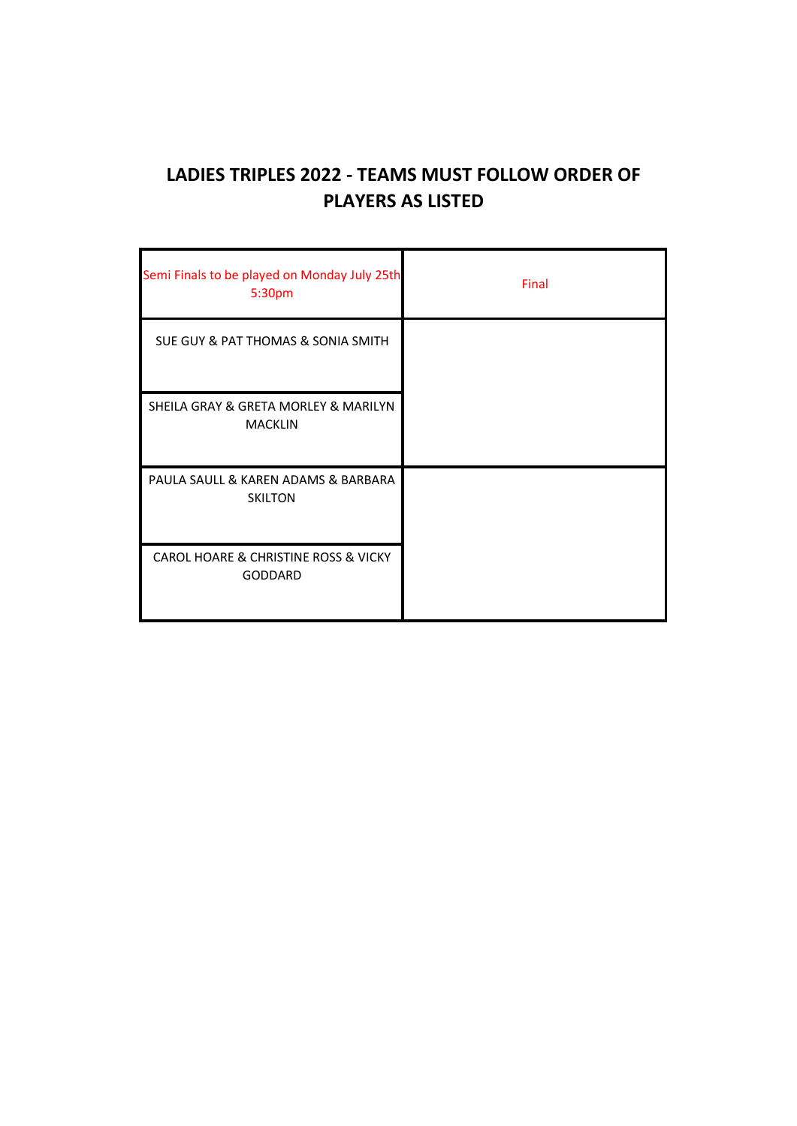# **LADIES TRIPLES 2022 - TEAMS MUST FOLLOW ORDER OF PLAYERS AS LISTED**

| Semi Finals to be played on Monday July 25th<br>5:30pm | Final |
|--------------------------------------------------------|-------|
| SUE GUY & PAT THOMAS & SONIA SMITH                     |       |
| SHEILA GRAY & GRETA MORLEY & MARILYN<br><b>MACKLIN</b> |       |
| PAULA SAULL & KAREN ADAMS & BARBARA<br><b>SKILTON</b>  |       |
| CAROL HOARE & CHRISTINE ROSS & VICKY<br>GODDARD        |       |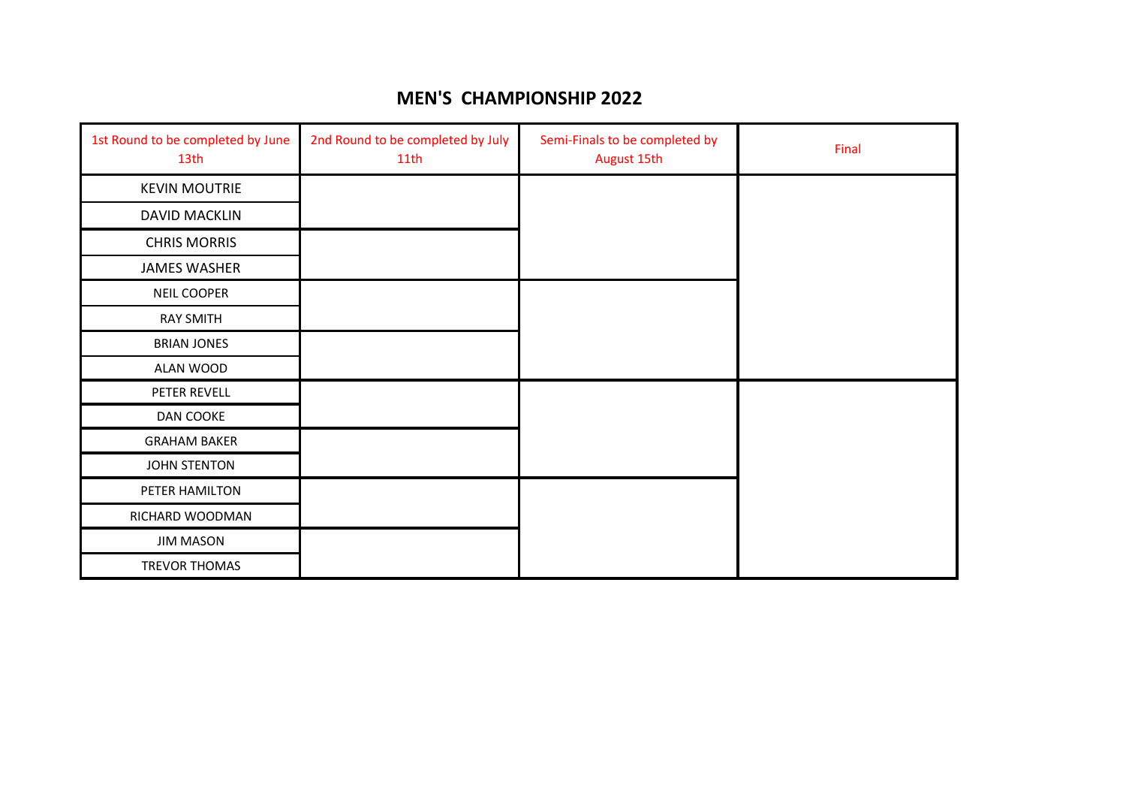### **MEN'S CHAMPIONSHIP 2022**

| 1st Round to be completed by June<br>13th | 2nd Round to be completed by July<br>11th | Semi-Finals to be completed by<br>August 15th | Final |
|-------------------------------------------|-------------------------------------------|-----------------------------------------------|-------|
| <b>KEVIN MOUTRIE</b>                      |                                           |                                               |       |
| DAVID MACKLIN                             |                                           |                                               |       |
| <b>CHRIS MORRIS</b>                       |                                           |                                               |       |
| <b>JAMES WASHER</b>                       |                                           |                                               |       |
| <b>NEIL COOPER</b>                        |                                           |                                               |       |
| <b>RAY SMITH</b>                          |                                           |                                               |       |
| <b>BRIAN JONES</b>                        |                                           |                                               |       |
| ALAN WOOD                                 |                                           |                                               |       |
| PETER REVELL                              |                                           |                                               |       |
| DAN COOKE                                 |                                           |                                               |       |
| <b>GRAHAM BAKER</b>                       |                                           |                                               |       |
| JOHN STENTON                              |                                           |                                               |       |
| PETER HAMILTON                            |                                           |                                               |       |
| RICHARD WOODMAN                           |                                           |                                               |       |
| <b>JIM MASON</b>                          |                                           |                                               |       |
| TREVOR THOMAS                             |                                           |                                               |       |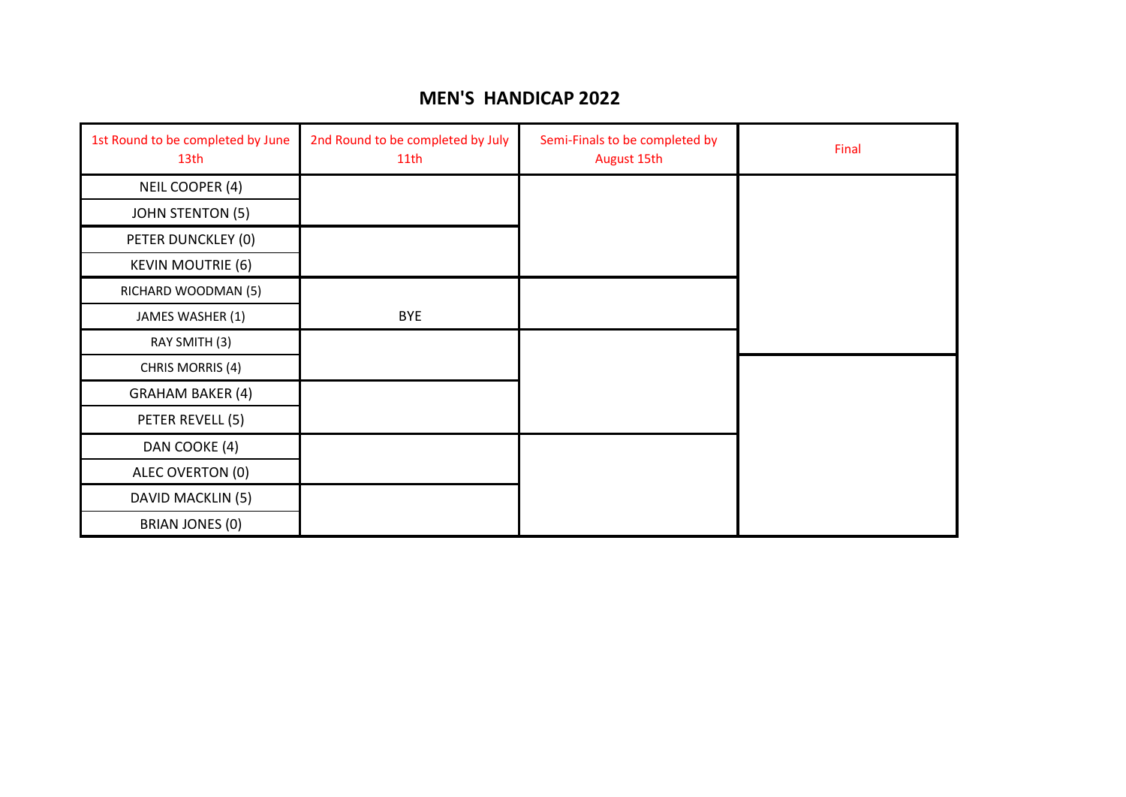### **MEN'S HANDICAP 2022**

| 1st Round to be completed by June<br>13th | 2nd Round to be completed by July<br>11 <sub>th</sub> | Semi-Finals to be completed by<br>August 15th | Final |
|-------------------------------------------|-------------------------------------------------------|-----------------------------------------------|-------|
| NEIL COOPER (4)                           |                                                       |                                               |       |
| <b>JOHN STENTON (5)</b>                   |                                                       |                                               |       |
| PETER DUNCKLEY (0)                        |                                                       |                                               |       |
| <b>KEVIN MOUTRIE (6)</b>                  |                                                       |                                               |       |
| RICHARD WOODMAN (5)                       |                                                       |                                               |       |
| JAMES WASHER (1)                          | <b>BYE</b>                                            |                                               |       |
| RAY SMITH (3)                             |                                                       |                                               |       |
| CHRIS MORRIS (4)                          |                                                       |                                               |       |
| <b>GRAHAM BAKER (4)</b>                   |                                                       |                                               |       |
| PETER REVELL (5)                          |                                                       |                                               |       |
| DAN COOKE (4)                             |                                                       |                                               |       |
| ALEC OVERTON (0)                          |                                                       |                                               |       |
| DAVID MACKLIN (5)                         |                                                       |                                               |       |
| BRIAN JONES (0)                           |                                                       |                                               |       |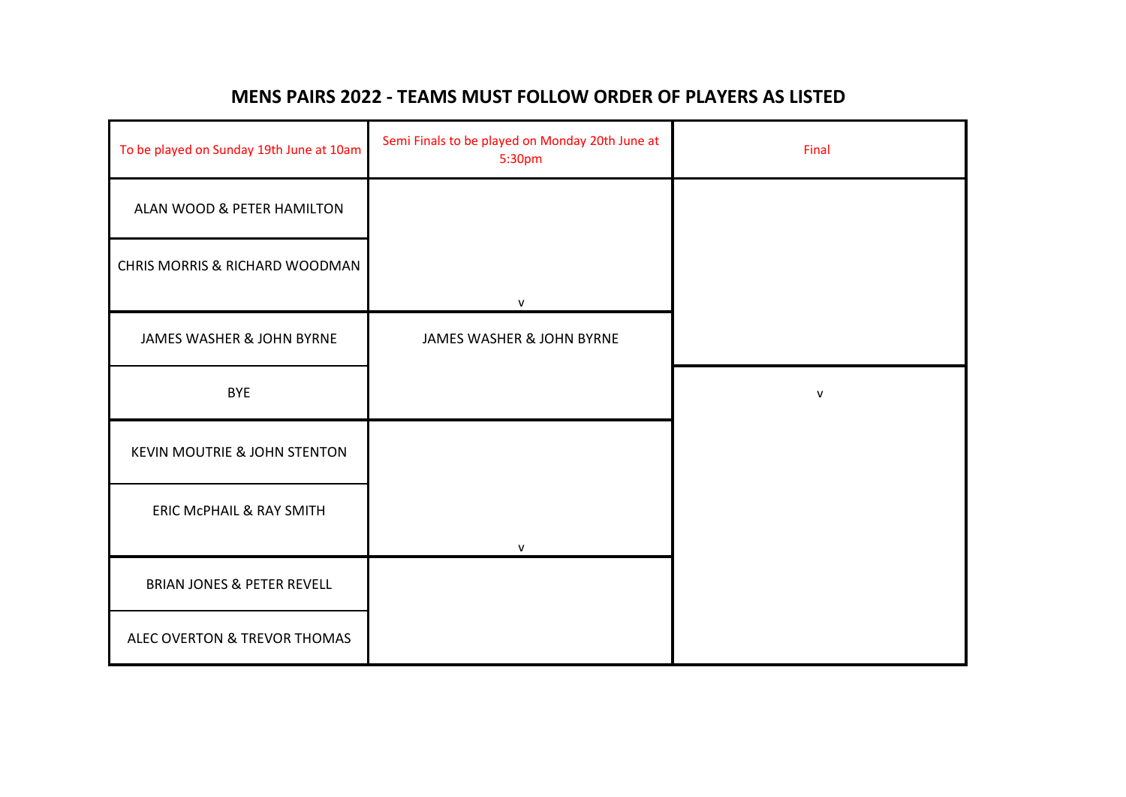## **MENS PAIRS 2022 - TEAMS MUST FOLLOW ORDER OF PLAYERS AS LISTED**

| To be played on Sunday 19th June at 10am | Semi Finals to be played on Monday 20th June at<br>5:30pm | Final        |
|------------------------------------------|-----------------------------------------------------------|--------------|
| ALAN WOOD & PETER HAMILTON               |                                                           |              |
| CHRIS MORRIS & RICHARD WOODMAN           |                                                           |              |
|                                          | V                                                         |              |
| JAMES WASHER & JOHN BYRNE                | JAMES WASHER & JOHN BYRNE                                 |              |
| <b>BYE</b>                               |                                                           | $\mathsf{V}$ |
| <b>KEVIN MOUTRIE &amp; JOHN STENTON</b>  |                                                           |              |
| ERIC McPHAIL & RAY SMITH                 | V                                                         |              |
| <b>BRIAN JONES &amp; PETER REVELL</b>    |                                                           |              |
| ALEC OVERTON & TREVOR THOMAS             |                                                           |              |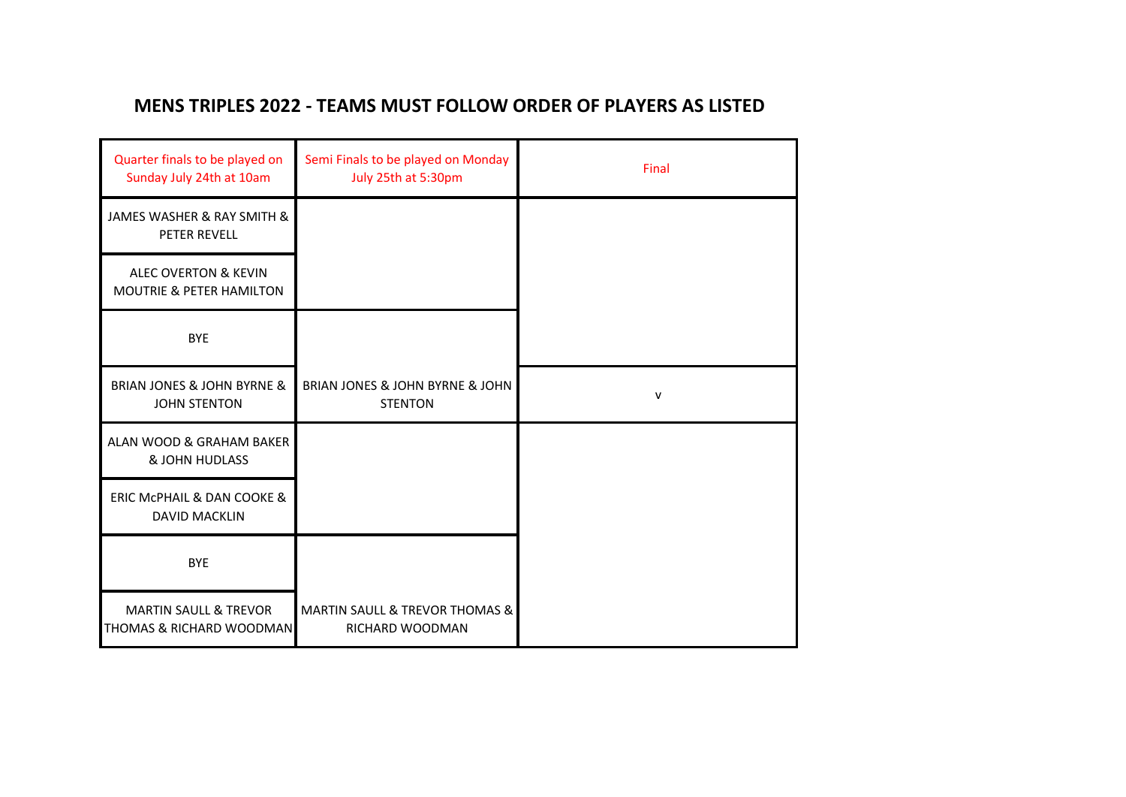# **MENS TRIPLES 2022 - TEAMS MUST FOLLOW ORDER OF PLAYERS AS LISTED**

| Quarter finals to be played on<br>Sunday July 24th at 10am              | Semi Finals to be played on Monday<br>July 25th at 5:30pm        | Final |
|-------------------------------------------------------------------------|------------------------------------------------------------------|-------|
| JAMES WASHER & RAY SMITH &<br>PETER REVELL                              |                                                                  |       |
| <b>ALEC OVERTON &amp; KEVIN</b><br><b>MOUTRIE &amp; PETER HAMILTON</b>  |                                                                  |       |
| <b>BYE</b>                                                              |                                                                  |       |
| <b>BRIAN JONES &amp; JOHN BYRNE &amp;</b><br><b>JOHN STENTON</b>        | BRIAN JONES & JOHN BYRNE & JOHN<br><b>STENTON</b>                | V     |
| ALAN WOOD & GRAHAM BAKER<br><b>&amp; JOHN HUDLASS</b>                   |                                                                  |       |
| ERIC MCPHAIL & DAN COOKE &<br><b>DAVID MACKLIN</b>                      |                                                                  |       |
| <b>BYE</b>                                                              |                                                                  |       |
| <b>MARTIN SAULL &amp; TREVOR</b><br><b>THOMAS &amp; RICHARD WOODMAN</b> | <b>MARTIN SAULL &amp; TREVOR THOMAS &amp;</b><br>RICHARD WOODMAN |       |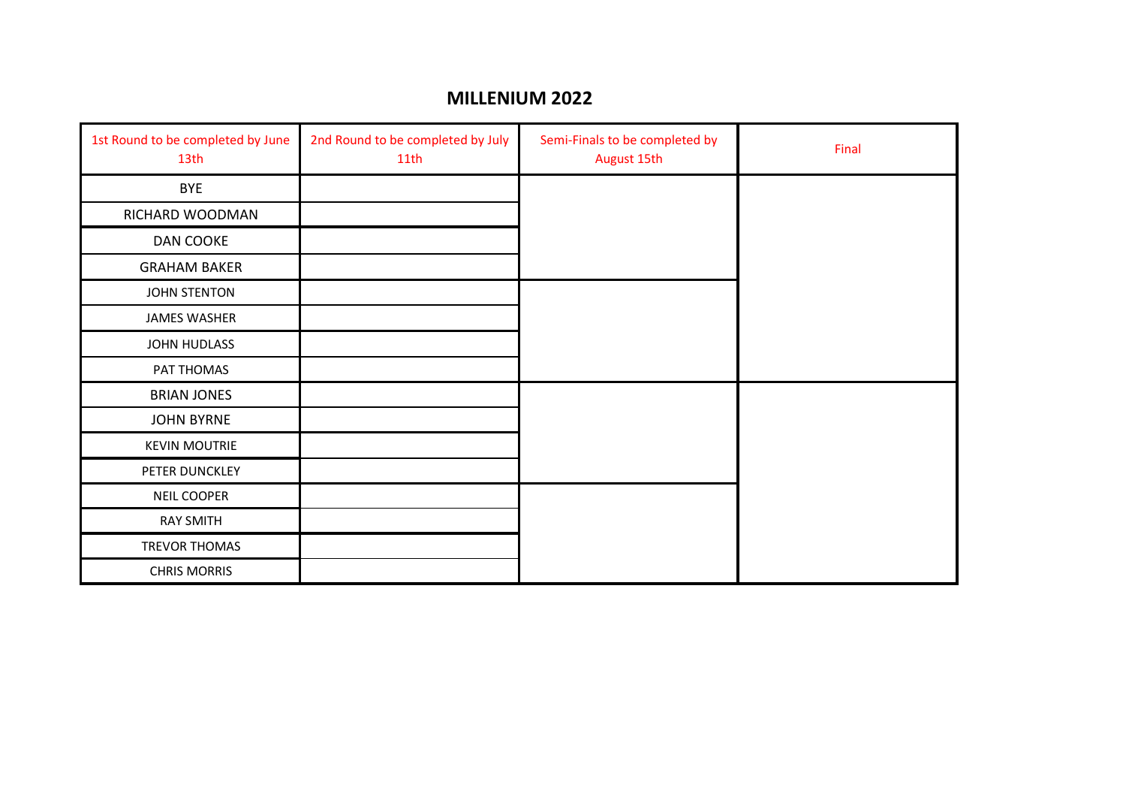#### **MILLENIUM 2022**

| 1st Round to be completed by June<br>13th | 2nd Round to be completed by July<br>11th | Semi-Finals to be completed by<br>August 15th | Final |
|-------------------------------------------|-------------------------------------------|-----------------------------------------------|-------|
| <b>BYE</b>                                |                                           |                                               |       |
| RICHARD WOODMAN                           |                                           |                                               |       |
| DAN COOKE                                 |                                           |                                               |       |
| <b>GRAHAM BAKER</b>                       |                                           |                                               |       |
| <b>JOHN STENTON</b>                       |                                           |                                               |       |
| <b>JAMES WASHER</b>                       |                                           |                                               |       |
| JOHN HUDLASS                              |                                           |                                               |       |
| PAT THOMAS                                |                                           |                                               |       |
| <b>BRIAN JONES</b>                        |                                           |                                               |       |
| <b>JOHN BYRNE</b>                         |                                           |                                               |       |
| <b>KEVIN MOUTRIE</b>                      |                                           |                                               |       |
| PETER DUNCKLEY                            |                                           |                                               |       |
| NEIL COOPER                               |                                           |                                               |       |
| <b>RAY SMITH</b>                          |                                           |                                               |       |
| TREVOR THOMAS                             |                                           |                                               |       |
| <b>CHRIS MORRIS</b>                       |                                           |                                               |       |